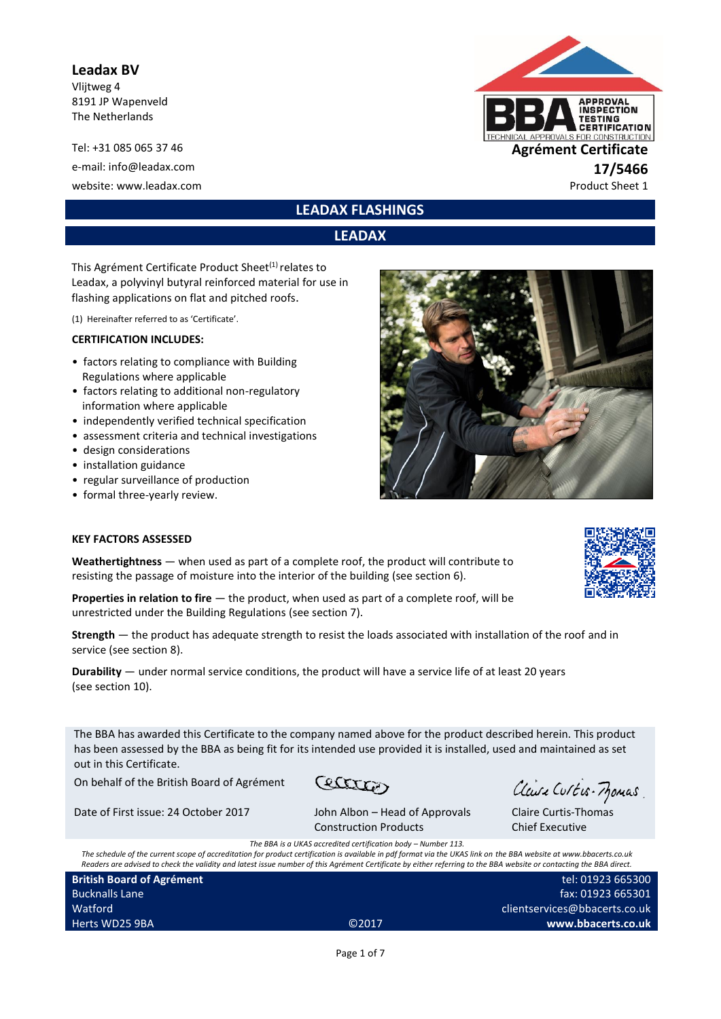#### **Leadax BV**

Vlijtweg 4 8191 JP Wapenveld The Netherlands

Tel: +31 085 065 37 46 **Agrément Certificate** e-mail: info@leadax.com **17/5466**<br>
website: www.leadax.com **17/6466**<br>
Product Sheet 1 website: www.leadax.com



**LEADAX FLASHINGS**

# **LEADAX**

This Agrément Certificate Product Sheet<sup>(1)</sup> relates to Leadax, a polyvinyl butyral reinforced material for use in flashing applications on flat and pitched roofs.

(1) Hereinafter referred to as 'Certificate'.

#### **CERTIFICATION INCLUDES:**

- factors relating to compliance with Building Regulations where applicable
- factors relating to additional non-regulatory information where applicable
- independently verified technical specification
- assessment criteria and technical investigations
- design considerations
- installation guidance
- regular surveillance of production
- formal three-yearly review.

#### **KEY FACTORS ASSESSED**

**Weathertightness** — when used as part of a complete roof, the product will contribute to resisting the passage of moisture into the interior of the building (see section 6).

Properties in relation to fire - the product, when used as part of a complete roof, will be unrestricted under the Building Regulations (see section 7).

**Strength** — the product has adequate strength to resist the loads associated with installation of the roof and in service (see section 8).

**Durability** — under normal service conditions, the product will have a service life of at least 20 years (see section 10).

The BBA has awarded this Certificate to the company named above for the product described herein. This product has been assessed by the BBA as being fit for its intended use provided it is installed, used and maintained as set out in this Certificate.

On behalf of the British Board of Agrément

Date of First issue: 24 October 2017 John Albon – Head of Approvals

Cectation

Claire Curtis-Momas

clientservices@bbacerts.co.uk

fax: 01923 665301

**www.bbacerts.co.uk**

Claire Curtis-Thomas Chief Executive

Construction Products *The BBA is a UKAS accredited certification hody – Number 113.* 

*The schedule of the current scope of accreditation for product certification is available in pdf format via the UKAS link on the BBA website at www.bbacerts.co.uk Readers are advised to check the validity and latest issue number of this Agrément Certificate by either referring to the BBA website or contacting the BBA direct.* tel: 01923 665300

**British Board of Agrément** Bucknalls Lane **Watford** Herts WD25 9BA ©2017

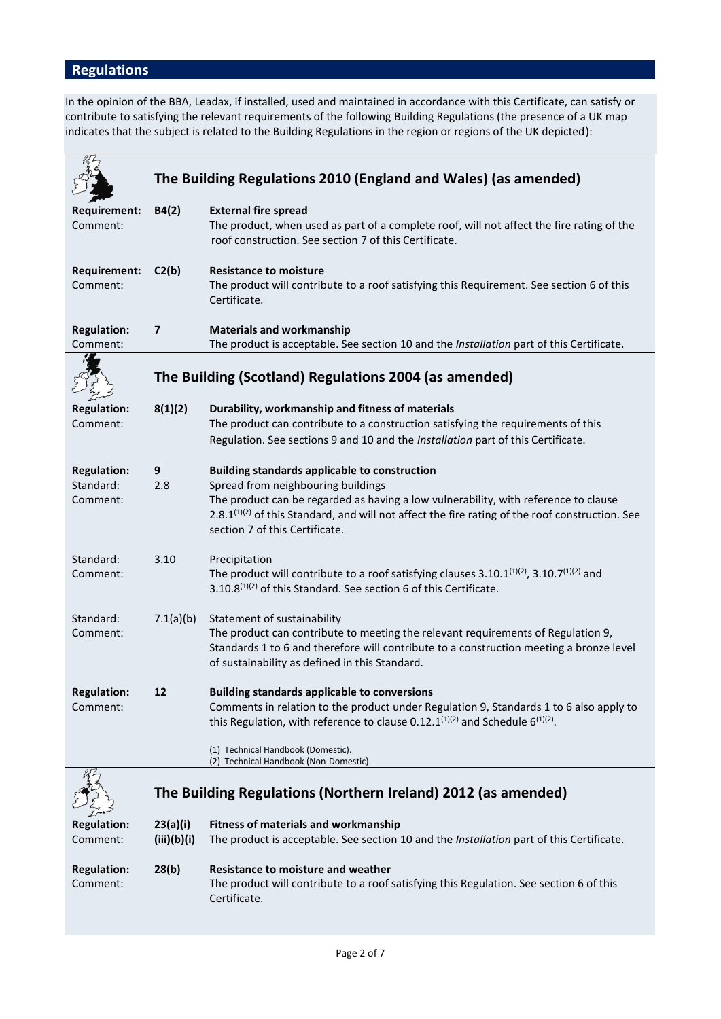# **Regulations**

In the opinion of the BBA, Leadax, if installed, used and maintained in accordance with this Certificate, can satisfy or contribute to satisfying the relevant requirements of the following Building Regulations (the presence of a UK map indicates that the subject is related to the Building Regulations in the region or regions of the UK depicted):

|                                             | The Building Regulations 2010 (England and Wales) (as amended) |                                                                                                                                                                                                                                                                                                                                    |  |
|---------------------------------------------|----------------------------------------------------------------|------------------------------------------------------------------------------------------------------------------------------------------------------------------------------------------------------------------------------------------------------------------------------------------------------------------------------------|--|
| <b>Requirement:</b><br>Comment:             | B4(2)                                                          | <b>External fire spread</b><br>The product, when used as part of a complete roof, will not affect the fire rating of the<br>roof construction. See section 7 of this Certificate.                                                                                                                                                  |  |
| <b>Requirement:</b><br>Comment:             | C2(b)                                                          | <b>Resistance to moisture</b><br>The product will contribute to a roof satisfying this Requirement. See section 6 of this<br>Certificate.                                                                                                                                                                                          |  |
| <b>Regulation:</b><br>Comment:              | $\overline{\mathbf{z}}$                                        | <b>Materials and workmanship</b><br>The product is acceptable. See section 10 and the Installation part of this Certificate.                                                                                                                                                                                                       |  |
|                                             |                                                                | The Building (Scotland) Regulations 2004 (as amended)                                                                                                                                                                                                                                                                              |  |
| <b>Regulation:</b><br>Comment:              | 8(1)(2)                                                        | Durability, workmanship and fitness of materials<br>The product can contribute to a construction satisfying the requirements of this<br>Regulation. See sections 9 and 10 and the Installation part of this Certificate.                                                                                                           |  |
| <b>Regulation:</b><br>Standard:<br>Comment: | 9<br>2.8                                                       | <b>Building standards applicable to construction</b><br>Spread from neighbouring buildings<br>The product can be regarded as having a low vulnerability, with reference to clause<br>2.8.1 <sup>(1)(2)</sup> of this Standard, and will not affect the fire rating of the roof construction. See<br>section 7 of this Certificate. |  |
| Standard:<br>Comment:                       | 3.10                                                           | Precipitation<br>The product will contribute to a roof satisfying clauses 3.10.1 $(1)(2)$ , 3.10.7 $(1)(2)$ and<br>3.10.8 <sup>(1)(2)</sup> of this Standard. See section 6 of this Certificate.                                                                                                                                   |  |
| Standard:<br>Comment:                       | 7.1(a)(b)                                                      | Statement of sustainability<br>The product can contribute to meeting the relevant requirements of Regulation 9,<br>Standards 1 to 6 and therefore will contribute to a construction meeting a bronze level<br>of sustainability as defined in this Standard.                                                                       |  |
| <b>Regulation:</b><br>Comment:              | 12                                                             | <b>Building standards applicable to conversions</b><br>Comments in relation to the product under Regulation 9, Standards 1 to 6 also apply to<br>this Regulation, with reference to clause 0.12.1 $(1)(2)$ and Schedule 6 $(1)(2)$ .<br>(1) Technical Handbook (Domestic).                                                         |  |
|                                             |                                                                | (2) Technical Handbook (Non-Domestic).<br>The Building Regulations (Northern Ireland) 2012 (as amended)                                                                                                                                                                                                                            |  |
| <b>Regulation:</b><br>Comment:              | 23(a)(i)<br>(iii)(b)(i)                                        | <b>Fitness of materials and workmanship</b><br>The product is acceptable. See section 10 and the Installation part of this Certificate.                                                                                                                                                                                            |  |
| <b>Regulation:</b><br>Comment:              | 28(b)                                                          | Resistance to moisture and weather<br>The product will contribute to a roof satisfying this Regulation. See section 6 of this<br>Certificate.                                                                                                                                                                                      |  |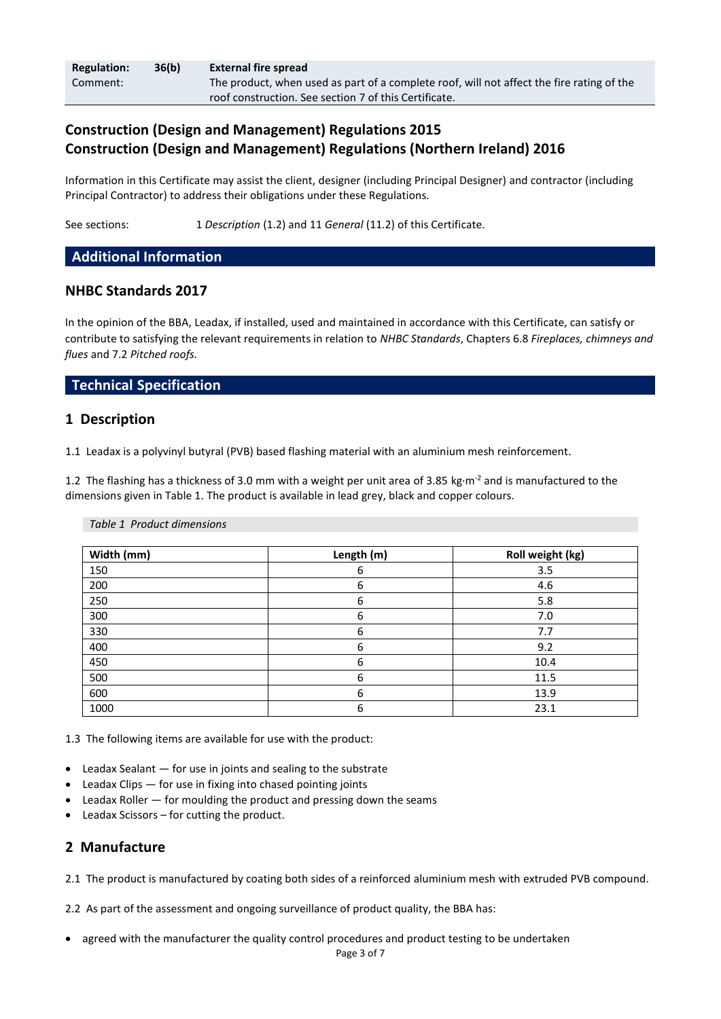| <b>Regulation:</b> | 36(b) | <b>External fire spread</b>                                                               |
|--------------------|-------|-------------------------------------------------------------------------------------------|
| Comment:           |       | The product, when used as part of a complete roof, will not affect the fire rating of the |
|                    |       | roof construction. See section 7 of this Certificate.                                     |

# **Construction (Design and Management) Regulations 2015 Construction (Design and Management) Regulations (Northern Ireland) 2016**

Information in this Certificate may assist the client, designer (including Principal Designer) and contractor (including Principal Contractor) to address their obligations under these Regulations.

See sections: 1 *Description* (1.2) and 11 *General* (11.2) of this Certificate.

### **Additional Information**

## **NHBC Standards 2017**

In the opinion of the BBA, Leadax, if installed, used and maintained in accordance with this Certificate, can satisfy or contribute to satisfying the relevant requirements in relation to *NHBC Standards*, Chapters 6.8 *Fireplaces, chimneys and flues* and 7.2 *Pitched roofs.*

### **Technical Specification**

#### **1 Description**

1.1 Leadax is a polyvinyl butyral (PVB) based flashing material with an aluminium mesh reinforcement.

1.2 The flashing has a thickness of 3.0 mm with a weight per unit area of 3.85 kg·m<sup>-2</sup> and is manufactured to the dimensions given in Table 1. The product is available in lead grey, black and copper colours.

#### *Table 1 Product dimensions*

| Width (mm) | Length (m) | Roll weight (kg) |
|------------|------------|------------------|
| 150        | 6          | 3.5              |
| 200        | 6          | 4.6              |
| 250        | 6          | 5.8              |
| 300        | 6          | 7.0              |
| 330        | 6          | 7.7              |
| 400        | 6          | 9.2              |
| 450        | 6          | 10.4             |
| 500        | 6          | 11.5             |
| 600        | 6          | 13.9             |
| 1000       | 6          | 23.1             |

1.3 The following items are available for use with the product:

- Leadax Sealant for use in joints and sealing to the substrate
- Leadax Clips for use in fixing into chased pointing joints
- **Leadax Roller**  $-$  **for moulding the product and pressing down the seams**
- Leadax Scissors for cutting the product.

### **2 Manufacture**

2.1 The product is manufactured by coating both sides of a reinforced aluminium mesh with extruded PVB compound.

2.2 As part of the assessment and ongoing surveillance of product quality, the BBA has:

• agreed with the manufacturer the quality control procedures and product testing to be undertaken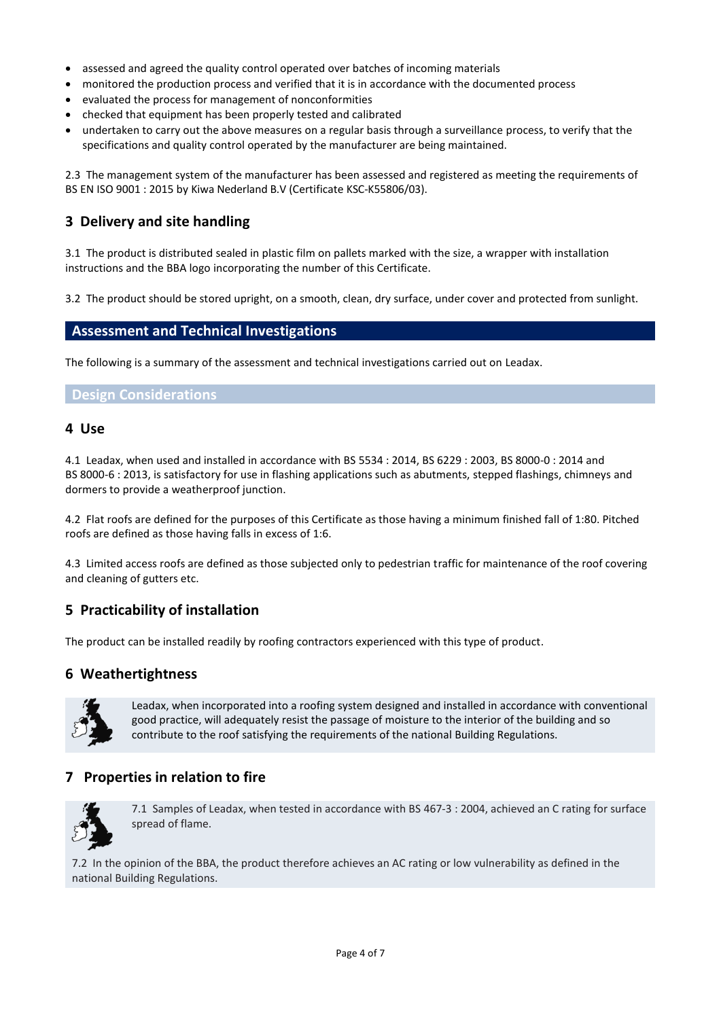- assessed and agreed the quality control operated over batches of incoming materials
- monitored the production process and verified that it is in accordance with the documented process
- evaluated the process for management of nonconformities
- checked that equipment has been properly tested and calibrated
- undertaken to carry out the above measures on a regular basis through a surveillance process, to verify that the specifications and quality control operated by the manufacturer are being maintained.

2.3 The management system of the manufacturer has been assessed and registered as meeting the requirements of BS EN ISO 9001 : 2015 by Kiwa Nederland B.V (Certificate KSC-K55806/03).

# **3 Delivery and site handling**

3.1 The product is distributed sealed in plastic film on pallets marked with the size, a wrapper with installation instructions and the BBA logo incorporating the number of this Certificate.

3.2 The product should be stored upright, on a smooth, clean, dry surface, under cover and protected from sunlight.

# **Assessment and Technical Investigations**

The following is a summary of the assessment and technical investigations carried out on Leadax.

#### **Design Considerations**

#### **4 Use**

4.1 Leadax, when used and installed in accordance with BS 5534 : 2014, BS 6229 : 2003, BS 8000-0 : 2014 and BS 8000-6 : 2013, is satisfactory for use in flashing applications such as abutments, stepped flashings, chimneys and dormers to provide a weatherproof junction.

4.2 Flat roofs are defined for the purposes of this Certificate as those having a minimum finished fall of 1:80. Pitched roofs are defined as those having falls in excess of 1:6.

4.3 Limited access roofs are defined as those subjected only to pedestrian traffic for maintenance of the roof covering and cleaning of gutters etc.

# **5 Practicability of installation**

The product can be installed readily by roofing contractors experienced with this type of product.

### **6 Weathertightness**



Leadax, when incorporated into a roofing system designed and installed in accordance with conventional good practice, will adequately resist the passage of moisture to the interior of the building and so contribute to the roof satisfying the requirements of the national Building Regulations.

# **7 Properties in relation to fire**



7.1 Samples of Leadax, when tested in accordance with BS 467-3 : 2004, achieved an C rating for surface spread of flame.

7.2 In the opinion of the BBA, the product therefore achieves an AC rating or low vulnerability as defined in the national Building Regulations.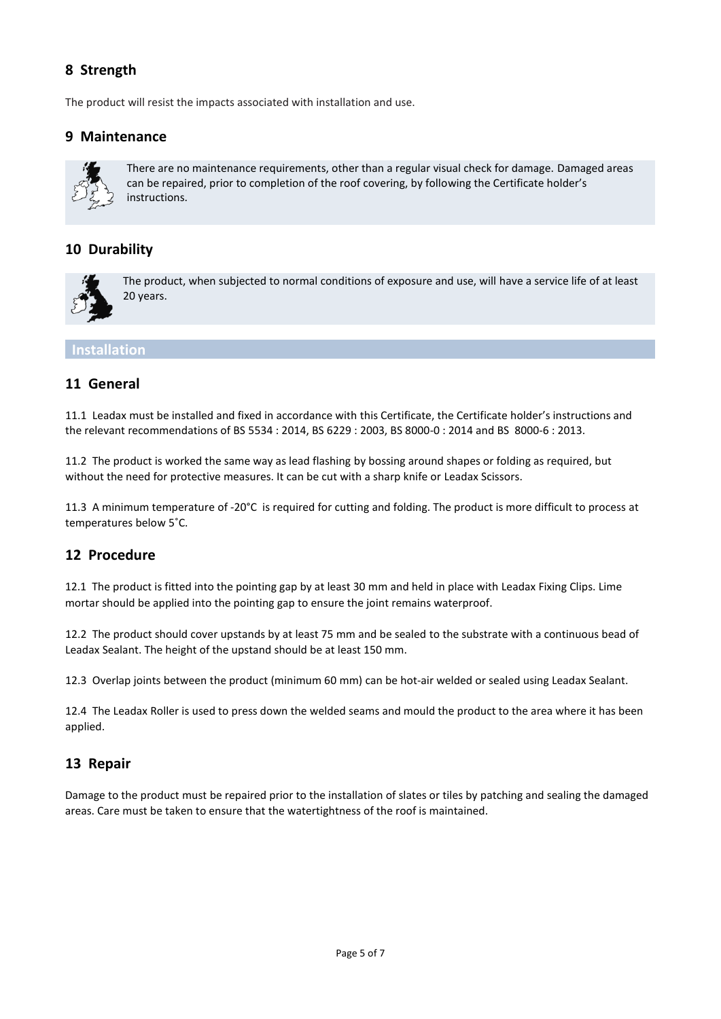# **8 Strength**

The product will resist the impacts associated with installation and use.

# **9 Maintenance**



There are no maintenance requirements, other than a regular visual check for damage. Damaged areas can be repaired, prior to completion of the roof covering, by following the Certificate holder's instructions.

# **10 Durability**



The product, when subjected to normal conditions of exposure and use, will have a service life of at least 20 years.

#### **Installation**

### **11 General**

11.1 Leadax must be installed and fixed in accordance with this Certificate, the Certificate holder's instructions and the relevant recommendations of BS 5534 : 2014, BS 6229 : 2003, BS 8000-0 : 2014 and BS 8000-6 : 2013.

11.2 The product is worked the same way as lead flashing by bossing around shapes or folding as required, but without the need for protective measures. It can be cut with a sharp knife or Leadax Scissors.

11.3 A minimum temperature of -20°C is required for cutting and folding. The product is more difficult to process at temperatures below 5˚C.

### **12 Procedure**

12.1 The product is fitted into the pointing gap by at least 30 mm and held in place with Leadax Fixing Clips. Lime mortar should be applied into the pointing gap to ensure the joint remains waterproof.

12.2 The product should cover upstands by at least 75 mm and be sealed to the substrate with a continuous bead of Leadax Sealant. The height of the upstand should be at least 150 mm.

12.3 Overlap joints between the product (minimum 60 mm) can be hot-air welded or sealed using Leadax Sealant.

12.4 The Leadax Roller is used to press down the welded seams and mould the product to the area where it has been applied.

### **13 Repair**

Damage to the product must be repaired prior to the installation of slates or tiles by patching and sealing the damaged areas. Care must be taken to ensure that the watertightness of the roof is maintained.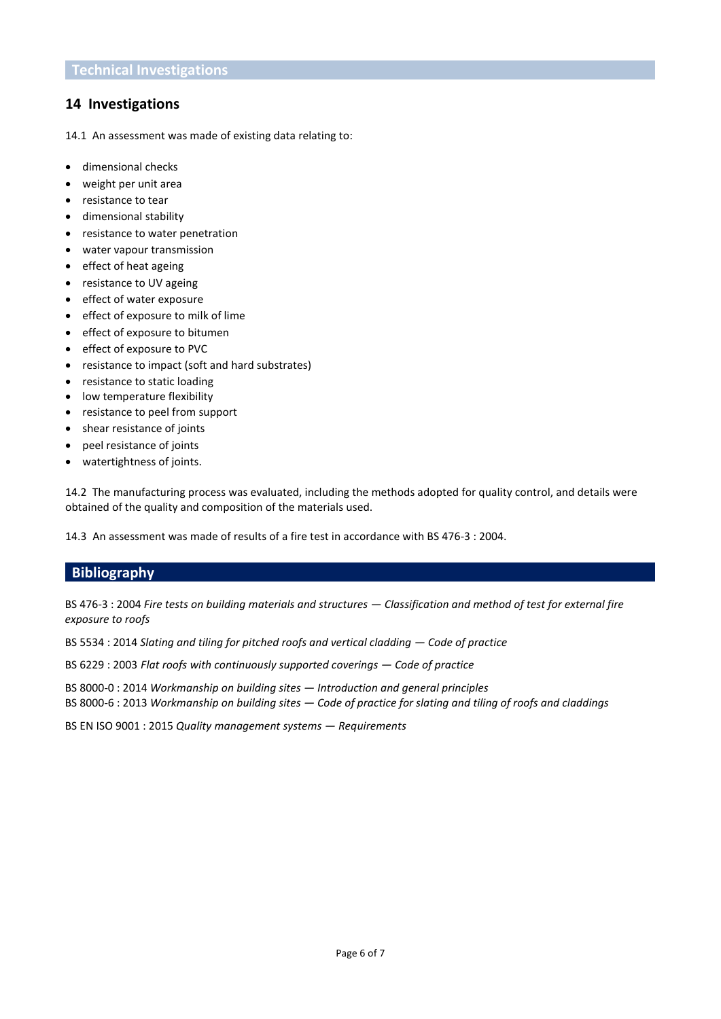# **14 Investigations**

14.1 An assessment was made of existing data relating to:

- dimensional checks
- weight per unit area
- resistance to tear
- dimensional stability
- resistance to water penetration
- water vapour transmission
- effect of heat ageing
- resistance to UV ageing
- effect of water exposure
- effect of exposure to milk of lime
- effect of exposure to bitumen
- effect of exposure to PVC
- resistance to impact (soft and hard substrates)
- resistance to static loading
- low temperature flexibility
- resistance to peel from support
- shear resistance of joints
- peel resistance of joints
- watertightness of joints.

14.2 The manufacturing process was evaluated, including the methods adopted for quality control, and details were obtained of the quality and composition of the materials used.

14.3 An assessment was made of results of a fire test in accordance with BS 476-3 : 2004.

### **Bibliography**

BS 476-3 : 2004 *Fire tests on building materials and structures — Classification and method of test for external fire exposure to roofs* 

BS 5534 : 2014 *Slating and tiling for pitched roofs and vertical cladding*  $-$  *Code of practice* 

BS 6229 : 2003 *Flat roofs with continuously supported coverings — Code of practice*

BS 8000-0 : 2014 *Workmanship on building sites — Introduction and general principles* BS 8000-6 : 2013 *Workmanship on building sites — Code of practice for slating and tiling of roofs and claddings* 

BS EN ISO 9001 : 2015 *Quality management systems — Requirements*